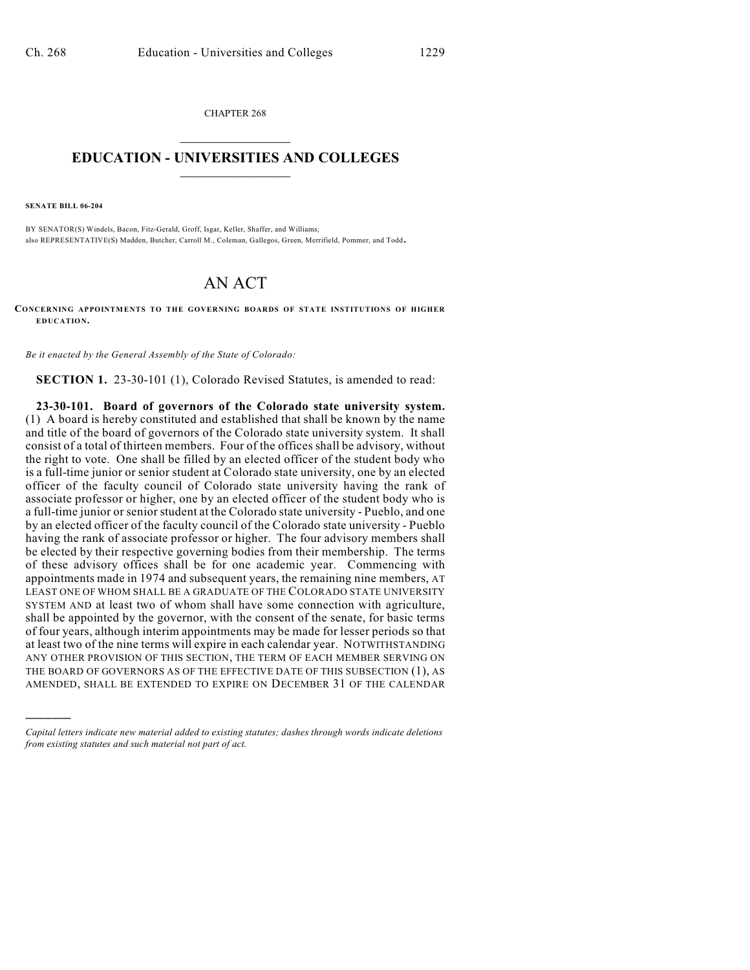CHAPTER 268  $\overline{\phantom{a}}$  . The set of the set of the set of the set of the set of the set of the set of the set of the set of the set of the set of the set of the set of the set of the set of the set of the set of the set of the set o

## **EDUCATION - UNIVERSITIES AND COLLEGES**  $\_$

**SENATE BILL 06-204**

)))))

BY SENATOR(S) Windels, Bacon, Fitz-Gerald, Groff, Isgar, Keller, Shaffer, and Williams; also REPRESENTATIVE(S) Madden, Butcher, Carroll M., Coleman, Gallegos, Green, Merrifield, Pommer, and Todd.

## AN ACT

**CONCERNING APPOINTMENTS TO THE GOVERNING BOARDS OF STATE INSTITUTIONS OF HIGHER EDUCATION.**

*Be it enacted by the General Assembly of the State of Colorado:*

**SECTION 1.** 23-30-101 (1), Colorado Revised Statutes, is amended to read:

**23-30-101. Board of governors of the Colorado state university system.** (1) A board is hereby constituted and established that shall be known by the name and title of the board of governors of the Colorado state university system. It shall consist of a total of thirteen members. Four of the offices shall be advisory, without the right to vote. One shall be filled by an elected officer of the student body who is a full-time junior or senior student at Colorado state university, one by an elected officer of the faculty council of Colorado state university having the rank of associate professor or higher, one by an elected officer of the student body who is a full-time junior or senior student at the Colorado state university - Pueblo, and one by an elected officer of the faculty council of the Colorado state university - Pueblo having the rank of associate professor or higher. The four advisory members shall be elected by their respective governing bodies from their membership. The terms of these advisory offices shall be for one academic year. Commencing with appointments made in 1974 and subsequent years, the remaining nine members, AT LEAST ONE OF WHOM SHALL BE A GRADUATE OF THE COLORADO STATE UNIVERSITY SYSTEM AND at least two of whom shall have some connection with agriculture, shall be appointed by the governor, with the consent of the senate, for basic terms of four years, although interim appointments may be made for lesser periods so that at least two of the nine terms will expire in each calendar year. NOTWITHSTANDING ANY OTHER PROVISION OF THIS SECTION, THE TERM OF EACH MEMBER SERVING ON THE BOARD OF GOVERNORS AS OF THE EFFECTIVE DATE OF THIS SUBSECTION (1), AS AMENDED, SHALL BE EXTENDED TO EXPIRE ON DECEMBER 31 OF THE CALENDAR

*Capital letters indicate new material added to existing statutes; dashes through words indicate deletions from existing statutes and such material not part of act.*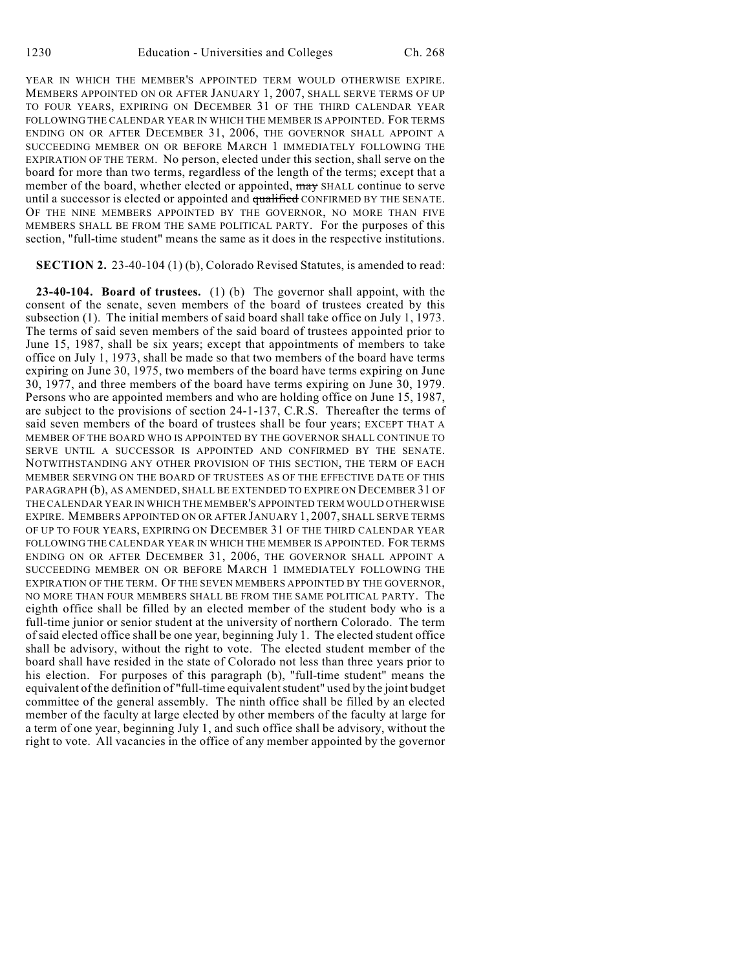YEAR IN WHICH THE MEMBER'S APPOINTED TERM WOULD OTHERWISE EXPIRE. MEMBERS APPOINTED ON OR AFTER JANUARY 1, 2007, SHALL SERVE TERMS OF UP TO FOUR YEARS, EXPIRING ON DECEMBER 31 OF THE THIRD CALENDAR YEAR FOLLOWING THE CALENDAR YEAR IN WHICH THE MEMBER IS APPOINTED. FOR TERMS ENDING ON OR AFTER DECEMBER 31, 2006, THE GOVERNOR SHALL APPOINT A SUCCEEDING MEMBER ON OR BEFORE MARCH 1 IMMEDIATELY FOLLOWING THE EXPIRATION OF THE TERM. No person, elected under this section, shall serve on the board for more than two terms, regardless of the length of the terms; except that a member of the board, whether elected or appointed, may SHALL continue to serve until a successor is elected or appointed and qualified CONFIRMED BY THE SENATE. OF THE NINE MEMBERS APPOINTED BY THE GOVERNOR, NO MORE THAN FIVE MEMBERS SHALL BE FROM THE SAME POLITICAL PARTY. For the purposes of this section, "full-time student" means the same as it does in the respective institutions.

## **SECTION 2.** 23-40-104 (1) (b), Colorado Revised Statutes, is amended to read:

**23-40-104. Board of trustees.** (1) (b) The governor shall appoint, with the consent of the senate, seven members of the board of trustees created by this subsection (1). The initial members of said board shall take office on July 1, 1973. The terms of said seven members of the said board of trustees appointed prior to June 15, 1987, shall be six years; except that appointments of members to take office on July 1, 1973, shall be made so that two members of the board have terms expiring on June 30, 1975, two members of the board have terms expiring on June 30, 1977, and three members of the board have terms expiring on June 30, 1979. Persons who are appointed members and who are holding office on June 15, 1987, are subject to the provisions of section 24-1-137, C.R.S. Thereafter the terms of said seven members of the board of trustees shall be four years; EXCEPT THAT A MEMBER OF THE BOARD WHO IS APPOINTED BY THE GOVERNOR SHALL CONTINUE TO SERVE UNTIL A SUCCESSOR IS APPOINTED AND CONFIRMED BY THE SENATE. NOTWITHSTANDING ANY OTHER PROVISION OF THIS SECTION, THE TERM OF EACH MEMBER SERVING ON THE BOARD OF TRUSTEES AS OF THE EFFECTIVE DATE OF THIS PARAGRAPH (b), AS AMENDED, SHALL BE EXTENDED TO EXPIRE ON DECEMBER 31 OF THE CALENDAR YEAR IN WHICH THE MEMBER'S APPOINTED TERM WOULD OTHERWISE EXPIRE. MEMBERS APPOINTED ON OR AFTER JANUARY 1, 2007, SHALL SERVE TERMS OF UP TO FOUR YEARS, EXPIRING ON DECEMBER 31 OF THE THIRD CALENDAR YEAR FOLLOWING THE CALENDAR YEAR IN WHICH THE MEMBER IS APPOINTED. FOR TERMS ENDING ON OR AFTER DECEMBER 31, 2006, THE GOVERNOR SHALL APPOINT A SUCCEEDING MEMBER ON OR BEFORE MARCH 1 IMMEDIATELY FOLLOWING THE EXPIRATION OF THE TERM. OF THE SEVEN MEMBERS APPOINTED BY THE GOVERNOR, NO MORE THAN FOUR MEMBERS SHALL BE FROM THE SAME POLITICAL PARTY. The eighth office shall be filled by an elected member of the student body who is a full-time junior or senior student at the university of northern Colorado. The term of said elected office shall be one year, beginning July 1. The elected student office shall be advisory, without the right to vote. The elected student member of the board shall have resided in the state of Colorado not less than three years prior to his election. For purposes of this paragraph (b), "full-time student" means the equivalent of the definition of "full-time equivalent student" used by the joint budget committee of the general assembly. The ninth office shall be filled by an elected member of the faculty at large elected by other members of the faculty at large for a term of one year, beginning July 1, and such office shall be advisory, without the right to vote. All vacancies in the office of any member appointed by the governor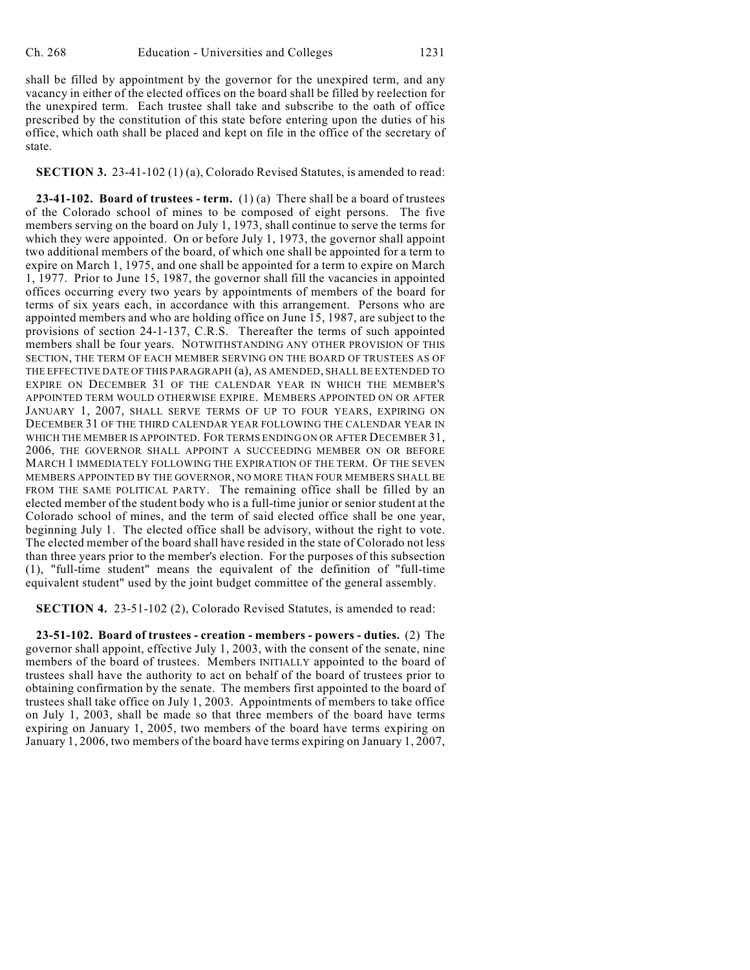shall be filled by appointment by the governor for the unexpired term, and any vacancy in either of the elected offices on the board shall be filled by reelection for the unexpired term. Each trustee shall take and subscribe to the oath of office prescribed by the constitution of this state before entering upon the duties of his office, which oath shall be placed and kept on file in the office of the secretary of state.

**SECTION 3.** 23-41-102 (1) (a), Colorado Revised Statutes, is amended to read:

**23-41-102. Board of trustees - term.** (1) (a) There shall be a board of trustees of the Colorado school of mines to be composed of eight persons. The five members serving on the board on July 1, 1973, shall continue to serve the terms for which they were appointed. On or before July 1, 1973, the governor shall appoint two additional members of the board, of which one shall be appointed for a term to expire on March 1, 1975, and one shall be appointed for a term to expire on March 1, 1977. Prior to June 15, 1987, the governor shall fill the vacancies in appointed offices occurring every two years by appointments of members of the board for terms of six years each, in accordance with this arrangement. Persons who are appointed members and who are holding office on June 15, 1987, are subject to the provisions of section 24-1-137, C.R.S. Thereafter the terms of such appointed members shall be four years. NOTWITHSTANDING ANY OTHER PROVISION OF THIS SECTION, THE TERM OF EACH MEMBER SERVING ON THE BOARD OF TRUSTEES AS OF THE EFFECTIVE DATE OF THIS PARAGRAPH (a), AS AMENDED, SHALL BE EXTENDED TO EXPIRE ON DECEMBER 31 OF THE CALENDAR YEAR IN WHICH THE MEMBER'S APPOINTED TERM WOULD OTHERWISE EXPIRE. MEMBERS APPOINTED ON OR AFTER JANUARY 1, 2007, SHALL SERVE TERMS OF UP TO FOUR YEARS, EXPIRING ON DECEMBER 31 OF THE THIRD CALENDAR YEAR FOLLOWING THE CALENDAR YEAR IN WHICH THE MEMBER IS APPOINTED. FOR TERMS ENDING ON OR AFTER DECEMBER 31, 2006, THE GOVERNOR SHALL APPOINT A SUCCEEDING MEMBER ON OR BEFORE MARCH 1 IMMEDIATELY FOLLOWING THE EXPIRATION OF THE TERM. OF THE SEVEN MEMBERS APPOINTED BY THE GOVERNOR, NO MORE THAN FOUR MEMBERS SHALL BE FROM THE SAME POLITICAL PARTY. The remaining office shall be filled by an elected member of the student body who is a full-time junior or senior student at the Colorado school of mines, and the term of said elected office shall be one year, beginning July 1. The elected office shall be advisory, without the right to vote. The elected member of the board shall have resided in the state of Colorado not less than three years prior to the member's election. For the purposes of this subsection (1), "full-time student" means the equivalent of the definition of "full-time equivalent student" used by the joint budget committee of the general assembly.

**SECTION 4.** 23-51-102 (2), Colorado Revised Statutes, is amended to read:

**23-51-102. Board of trustees - creation - members - powers - duties.** (2) The governor shall appoint, effective July 1, 2003, with the consent of the senate, nine members of the board of trustees. Members INITIALLY appointed to the board of trustees shall have the authority to act on behalf of the board of trustees prior to obtaining confirmation by the senate. The members first appointed to the board of trustees shall take office on July 1, 2003. Appointments of members to take office on July 1, 2003, shall be made so that three members of the board have terms expiring on January 1, 2005, two members of the board have terms expiring on January 1, 2006, two members of the board have terms expiring on January 1, 2007,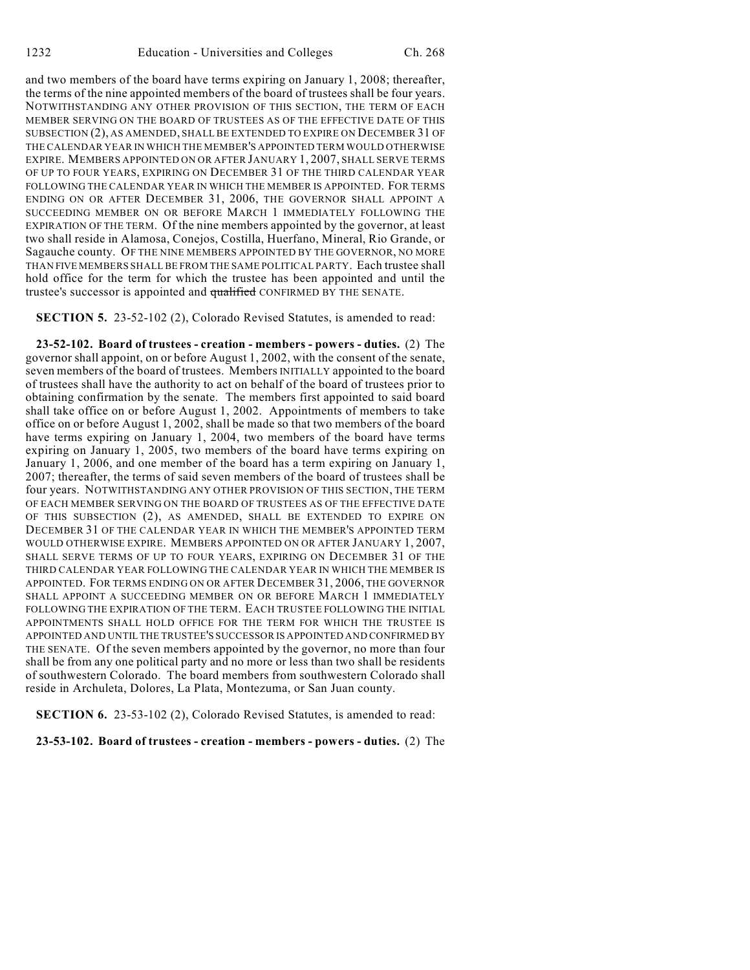and two members of the board have terms expiring on January 1, 2008; thereafter, the terms of the nine appointed members of the board of trustees shall be four years. NOTWITHSTANDING ANY OTHER PROVISION OF THIS SECTION, THE TERM OF EACH MEMBER SERVING ON THE BOARD OF TRUSTEES AS OF THE EFFECTIVE DATE OF THIS SUBSECTION (2), AS AMENDED, SHALL BE EXTENDED TO EXPIRE ON DECEMBER 31 OF THE CALENDAR YEAR IN WHICH THE MEMBER'S APPOINTED TERM WOULD OTHERWISE EXPIRE. MEMBERS APPOINTED ON OR AFTER JANUARY 1, 2007, SHALL SERVE TERMS OF UP TO FOUR YEARS, EXPIRING ON DECEMBER 31 OF THE THIRD CALENDAR YEAR FOLLOWING THE CALENDAR YEAR IN WHICH THE MEMBER IS APPOINTED. FOR TERMS ENDING ON OR AFTER DECEMBER 31, 2006, THE GOVERNOR SHALL APPOINT A SUCCEEDING MEMBER ON OR BEFORE MARCH 1 IMMEDIATELY FOLLOWING THE EXPIRATION OF THE TERM. Of the nine members appointed by the governor, at least two shall reside in Alamosa, Conejos, Costilla, Huerfano, Mineral, Rio Grande, or Sagauche county. OF THE NINE MEMBERS APPOINTED BY THE GOVERNOR, NO MORE THAN FIVE MEMBERS SHALL BE FROM THE SAME POLITICAL PARTY. Each trustee shall hold office for the term for which the trustee has been appointed and until the trustee's successor is appointed and qualified CONFIRMED BY THE SENATE.

**SECTION 5.** 23-52-102 (2), Colorado Revised Statutes, is amended to read:

**23-52-102. Board of trustees - creation - members - powers - duties.** (2) The governor shall appoint, on or before August 1, 2002, with the consent of the senate, seven members of the board of trustees. Members INITIALLY appointed to the board of trustees shall have the authority to act on behalf of the board of trustees prior to obtaining confirmation by the senate. The members first appointed to said board shall take office on or before August 1, 2002. Appointments of members to take office on or before August 1, 2002, shall be made so that two members of the board have terms expiring on January 1, 2004, two members of the board have terms expiring on January 1, 2005, two members of the board have terms expiring on January 1, 2006, and one member of the board has a term expiring on January 1, 2007; thereafter, the terms of said seven members of the board of trustees shall be four years. NOTWITHSTANDING ANY OTHER PROVISION OF THIS SECTION, THE TERM OF EACH MEMBER SERVING ON THE BOARD OF TRUSTEES AS OF THE EFFECTIVE DATE OF THIS SUBSECTION (2), AS AMENDED, SHALL BE EXTENDED TO EXPIRE ON DECEMBER 31 OF THE CALENDAR YEAR IN WHICH THE MEMBER'S APPOINTED TERM WOULD OTHERWISE EXPIRE. MEMBERS APPOINTED ON OR AFTER JANUARY 1, 2007, SHALL SERVE TERMS OF UP TO FOUR YEARS, EXPIRING ON DECEMBER 31 OF THE THIRD CALENDAR YEAR FOLLOWING THE CALENDAR YEAR IN WHICH THE MEMBER IS APPOINTED. FOR TERMS ENDING ON OR AFTER DECEMBER 31, 2006, THE GOVERNOR SHALL APPOINT A SUCCEEDING MEMBER ON OR BEFORE MARCH 1 IMMEDIATELY FOLLOWING THE EXPIRATION OF THE TERM. EACH TRUSTEE FOLLOWING THE INITIAL APPOINTMENTS SHALL HOLD OFFICE FOR THE TERM FOR WHICH THE TRUSTEE IS APPOINTED AND UNTIL THE TRUSTEE'S SUCCESSOR IS APPOINTED AND CONFIRMED BY THE SENATE. Of the seven members appointed by the governor, no more than four shall be from any one political party and no more or less than two shall be residents of southwestern Colorado. The board members from southwestern Colorado shall reside in Archuleta, Dolores, La Plata, Montezuma, or San Juan county.

**SECTION 6.** 23-53-102 (2), Colorado Revised Statutes, is amended to read:

**23-53-102. Board of trustees - creation - members - powers - duties.** (2) The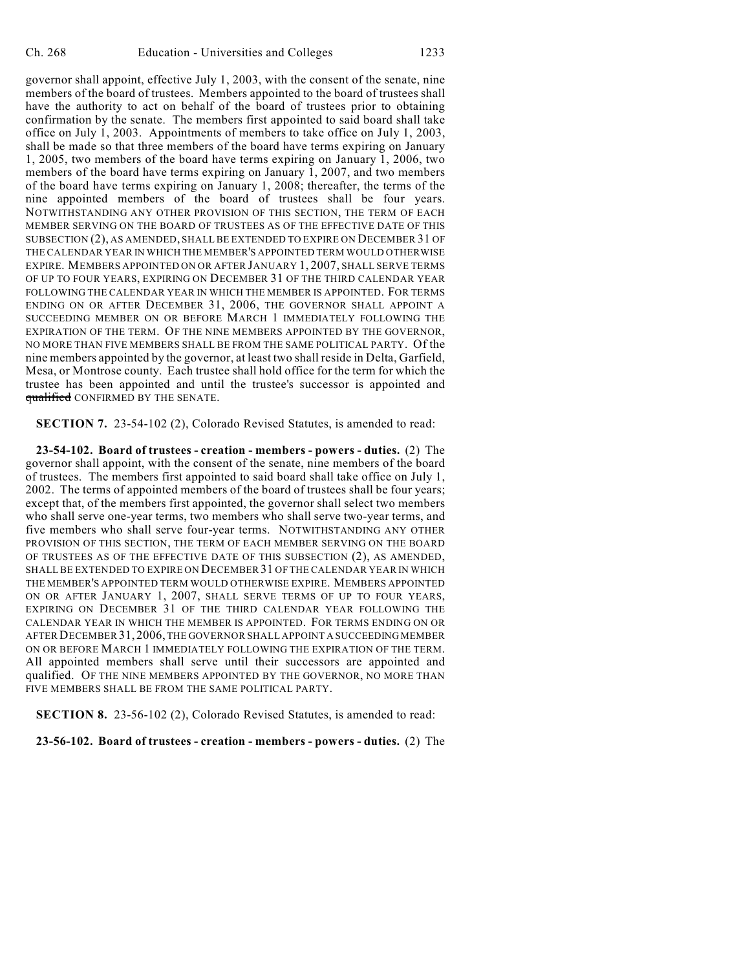governor shall appoint, effective July 1, 2003, with the consent of the senate, nine members of the board of trustees. Members appointed to the board of trustees shall have the authority to act on behalf of the board of trustees prior to obtaining confirmation by the senate. The members first appointed to said board shall take office on July 1, 2003. Appointments of members to take office on July 1, 2003, shall be made so that three members of the board have terms expiring on January 1, 2005, two members of the board have terms expiring on January 1, 2006, two members of the board have terms expiring on January 1, 2007, and two members of the board have terms expiring on January 1, 2008; thereafter, the terms of the nine appointed members of the board of trustees shall be four years. NOTWITHSTANDING ANY OTHER PROVISION OF THIS SECTION, THE TERM OF EACH MEMBER SERVING ON THE BOARD OF TRUSTEES AS OF THE EFFECTIVE DATE OF THIS SUBSECTION (2), AS AMENDED, SHALL BE EXTENDED TO EXPIRE ON DECEMBER 31 OF THE CALENDAR YEAR IN WHICH THE MEMBER'S APPOINTED TERM WOULD OTHERWISE EXPIRE. MEMBERS APPOINTED ON OR AFTER JANUARY 1, 2007, SHALL SERVE TERMS OF UP TO FOUR YEARS, EXPIRING ON DECEMBER 31 OF THE THIRD CALENDAR YEAR FOLLOWING THE CALENDAR YEAR IN WHICH THE MEMBER IS APPOINTED. FOR TERMS ENDING ON OR AFTER DECEMBER 31, 2006, THE GOVERNOR SHALL APPOINT A SUCCEEDING MEMBER ON OR BEFORE MARCH 1 IMMEDIATELY FOLLOWING THE EXPIRATION OF THE TERM. OF THE NINE MEMBERS APPOINTED BY THE GOVERNOR, NO MORE THAN FIVE MEMBERS SHALL BE FROM THE SAME POLITICAL PARTY. Of the nine members appointed by the governor, at least two shall reside in Delta, Garfield, Mesa, or Montrose county. Each trustee shall hold office for the term for which the trustee has been appointed and until the trustee's successor is appointed and qualified CONFIRMED BY THE SENATE.

**SECTION 7.** 23-54-102 (2), Colorado Revised Statutes, is amended to read:

**23-54-102. Board of trustees - creation - members - powers - duties.** (2) The governor shall appoint, with the consent of the senate, nine members of the board of trustees. The members first appointed to said board shall take office on July 1, 2002. The terms of appointed members of the board of trustees shall be four years; except that, of the members first appointed, the governor shall select two members who shall serve one-year terms, two members who shall serve two-year terms, and five members who shall serve four-year terms. NOTWITHSTANDING ANY OTHER PROVISION OF THIS SECTION, THE TERM OF EACH MEMBER SERVING ON THE BOARD OF TRUSTEES AS OF THE EFFECTIVE DATE OF THIS SUBSECTION (2), AS AMENDED, SHALL BE EXTENDED TO EXPIRE ON DECEMBER 31 OF THE CALENDAR YEAR IN WHICH THE MEMBER'S APPOINTED TERM WOULD OTHERWISE EXPIRE. MEMBERS APPOINTED ON OR AFTER JANUARY 1, 2007, SHALL SERVE TERMS OF UP TO FOUR YEARS, EXPIRING ON DECEMBER 31 OF THE THIRD CALENDAR YEAR FOLLOWING THE CALENDAR YEAR IN WHICH THE MEMBER IS APPOINTED. FOR TERMS ENDING ON OR AFTER DECEMBER 31, 2006, THE GOVERNOR SHALL APPOINT A SUCCEEDING MEMBER ON OR BEFORE MARCH 1 IMMEDIATELY FOLLOWING THE EXPIRATION OF THE TERM. All appointed members shall serve until their successors are appointed and qualified. OF THE NINE MEMBERS APPOINTED BY THE GOVERNOR, NO MORE THAN FIVE MEMBERS SHALL BE FROM THE SAME POLITICAL PARTY.

**SECTION 8.** 23-56-102 (2), Colorado Revised Statutes, is amended to read:

**23-56-102. Board of trustees - creation - members - powers - duties.** (2) The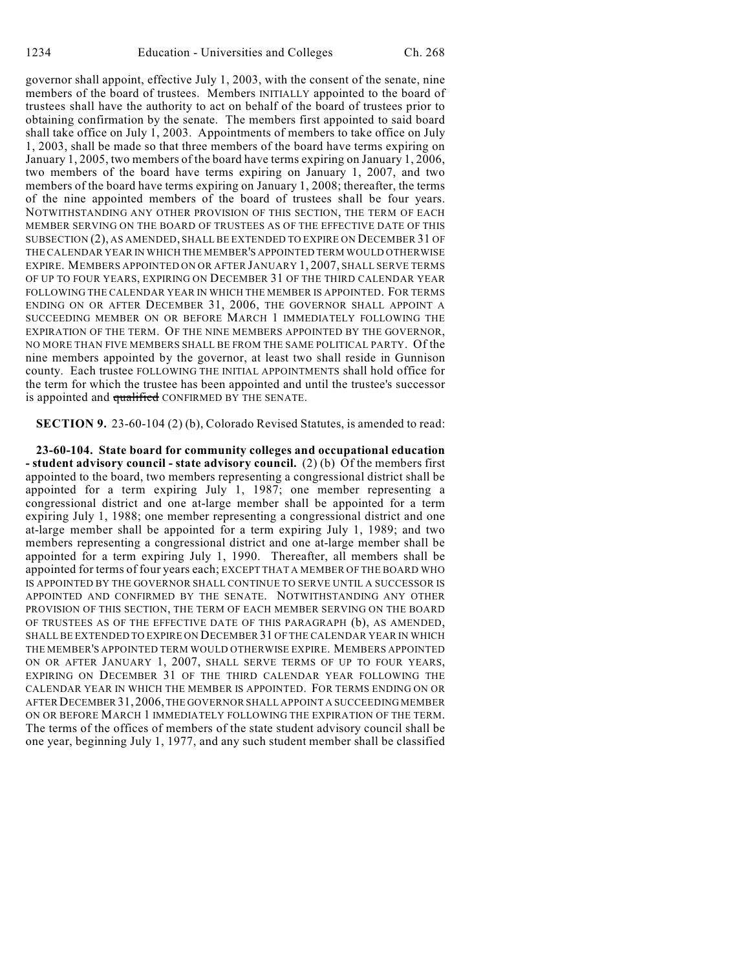governor shall appoint, effective July 1, 2003, with the consent of the senate, nine members of the board of trustees. Members INITIALLY appointed to the board of trustees shall have the authority to act on behalf of the board of trustees prior to obtaining confirmation by the senate. The members first appointed to said board shall take office on July 1, 2003. Appointments of members to take office on July 1, 2003, shall be made so that three members of the board have terms expiring on January 1, 2005, two members of the board have terms expiring on January 1, 2006, two members of the board have terms expiring on January 1, 2007, and two members of the board have terms expiring on January 1, 2008; thereafter, the terms of the nine appointed members of the board of trustees shall be four years. NOTWITHSTANDING ANY OTHER PROVISION OF THIS SECTION, THE TERM OF EACH MEMBER SERVING ON THE BOARD OF TRUSTEES AS OF THE EFFECTIVE DATE OF THIS SUBSECTION (2), AS AMENDED, SHALL BE EXTENDED TO EXPIRE ON DECEMBER 31 OF THE CALENDAR YEAR IN WHICH THE MEMBER'S APPOINTED TERM WOULD OTHERWISE EXPIRE. MEMBERS APPOINTED ON OR AFTER JANUARY 1, 2007, SHALL SERVE TERMS OF UP TO FOUR YEARS, EXPIRING ON DECEMBER 31 OF THE THIRD CALENDAR YEAR FOLLOWING THE CALENDAR YEAR IN WHICH THE MEMBER IS APPOINTED. FOR TERMS ENDING ON OR AFTER DECEMBER 31, 2006, THE GOVERNOR SHALL APPOINT A SUCCEEDING MEMBER ON OR BEFORE MARCH 1 IMMEDIATELY FOLLOWING THE EXPIRATION OF THE TERM. OF THE NINE MEMBERS APPOINTED BY THE GOVERNOR, NO MORE THAN FIVE MEMBERS SHALL BE FROM THE SAME POLITICAL PARTY. Of the nine members appointed by the governor, at least two shall reside in Gunnison county. Each trustee FOLLOWING THE INITIAL APPOINTMENTS shall hold office for the term for which the trustee has been appointed and until the trustee's successor is appointed and qualified CONFIRMED BY THE SENATE.

**SECTION 9.** 23-60-104 (2) (b), Colorado Revised Statutes, is amended to read:

**23-60-104. State board for community colleges and occupational education - student advisory council - state advisory council.** (2) (b) Of the members first appointed to the board, two members representing a congressional district shall be appointed for a term expiring July 1, 1987; one member representing a congressional district and one at-large member shall be appointed for a term expiring July 1, 1988; one member representing a congressional district and one at-large member shall be appointed for a term expiring July 1, 1989; and two members representing a congressional district and one at-large member shall be appointed for a term expiring July 1, 1990. Thereafter, all members shall be appointed for terms of four years each; EXCEPT THAT A MEMBER OF THE BOARD WHO IS APPOINTED BY THE GOVERNOR SHALL CONTINUE TO SERVE UNTIL A SUCCESSOR IS APPOINTED AND CONFIRMED BY THE SENATE. NOTWITHSTANDING ANY OTHER PROVISION OF THIS SECTION, THE TERM OF EACH MEMBER SERVING ON THE BOARD OF TRUSTEES AS OF THE EFFECTIVE DATE OF THIS PARAGRAPH (b), AS AMENDED, SHALL BE EXTENDED TO EXPIRE ON DECEMBER 31 OF THE CALENDAR YEAR IN WHICH THE MEMBER'S APPOINTED TERM WOULD OTHERWISE EXPIRE. MEMBERS APPOINTED ON OR AFTER JANUARY 1, 2007, SHALL SERVE TERMS OF UP TO FOUR YEARS, EXPIRING ON DECEMBER 31 OF THE THIRD CALENDAR YEAR FOLLOWING THE CALENDAR YEAR IN WHICH THE MEMBER IS APPOINTED. FOR TERMS ENDING ON OR AFTER DECEMBER31, 2006, THE GOVERNOR SHALL APPOINT A SUCCEEDING MEMBER ON OR BEFORE MARCH 1 IMMEDIATELY FOLLOWING THE EXPIRATION OF THE TERM. The terms of the offices of members of the state student advisory council shall be one year, beginning July 1, 1977, and any such student member shall be classified